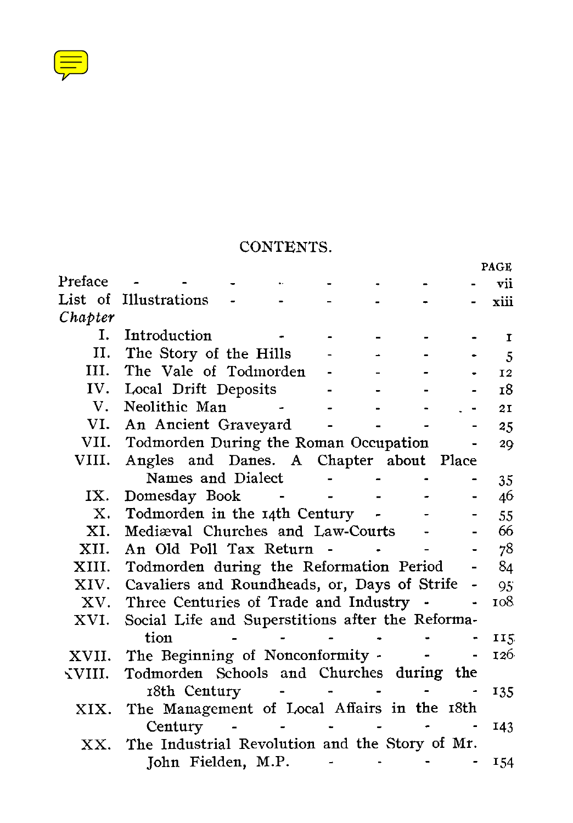$\left(\equiv\right)$ 

## CONTENTS.

|         |                                                    |  |  |       | PAGE         |
|---------|----------------------------------------------------|--|--|-------|--------------|
| Preface |                                                    |  |  |       | vii          |
| List of | Illustrations                                      |  |  |       | xiii         |
| Chapter |                                                    |  |  |       |              |
| Ι.      | Introduction                                       |  |  |       | $\mathbf{I}$ |
| Π.      | The Story of the Hills                             |  |  |       | 5            |
| III.    | The Vale of Todmorden                              |  |  |       | <b>I2</b>    |
| IV.     | Local Drift Deposits                               |  |  |       | 18           |
| V.      | Neolithic Man                                      |  |  |       | 21           |
| VI.     | An Ancient Graveyard                               |  |  |       | 25           |
|         | VII. Todmorden During the Roman Occupation         |  |  |       | 20           |
| VIII.   | Angles and Danes. A Chapter about                  |  |  | Place |              |
|         | Names and Dialect                                  |  |  |       | 35           |
| IX.     | Domesday Book                                      |  |  |       | 46           |
| Х.      | Todmorden in the 14th Century                      |  |  |       | 55           |
| XI.     | Mediæval Churches and Law-Courts                   |  |  |       | 66           |
| XII.    | An Old Poll Tax Return                             |  |  |       | 78           |
|         | XIII. Todmorden during the Reformation Period      |  |  |       | 84           |
|         | XIV. Cavaliers and Roundheads, or, Days of Strife  |  |  |       | 95           |
|         | XV. Three Centuries of Trade and Industry          |  |  |       | 108          |
| XVI.    | Social Life and Superstitions after the Reforma-   |  |  |       |              |
|         | tion                                               |  |  |       | 115          |
| XVII.   | The Beginning of Nonconformity -                   |  |  |       | 126          |
| √VIII.  | Todmorden Schools and Churches during the          |  |  |       |              |
|         | 18th Century                                       |  |  |       | 135          |
| XIX.    | The Management of Local Affairs in the 18th        |  |  |       |              |
|         | Century                                            |  |  |       | 143          |
|         | XX. The Industrial Revolution and the Story of Mr. |  |  |       |              |
|         | John Fielden, M.P.                                 |  |  |       | 154          |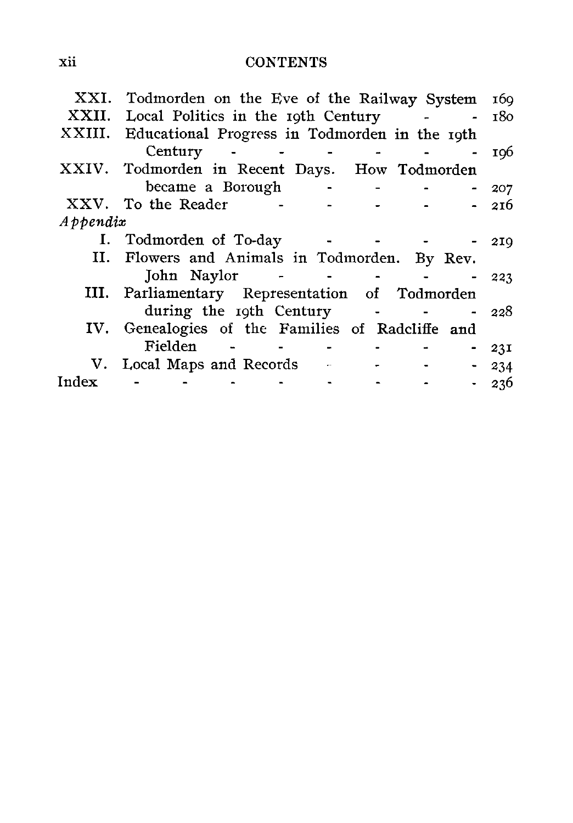## xii CONTENTS

| XXI.     | Todmorden on the Eve of the Railway System       |                      | 160             |
|----------|--------------------------------------------------|----------------------|-----------------|
| XXII.    | Local Politics in the roth Century               |                      | 180             |
| XXIII.   | Educational Progress in Todmorden in the roth    |                      |                 |
|          | Century                                          |                      | 10 <sub>6</sub> |
|          | XXIV. Todmorden in Recent Days. How Todmorden    |                      |                 |
|          | became a Borough                                 |                      | 207             |
|          | XXV. To the Reader                               |                      | 216             |
| Appendix |                                                  |                      |                 |
|          | I. Todmorden of To-day                           |                      | 219             |
|          | II. Flowers and Animals in Todmorden. By Rev.    |                      |                 |
|          | John Naylor                                      |                      | 223             |
|          | III. Parliamentary Representation of Todmorden   |                      |                 |
|          | during the 19th Century                          |                      | 228             |
|          | IV. Genealogies of the Families of Radcliffe and |                      |                 |
|          | Fielden                                          |                      | 23I             |
|          | V. Local Maps and Records                        | $\ddot{\phantom{1}}$ | 234             |
| Index    |                                                  |                      | 236             |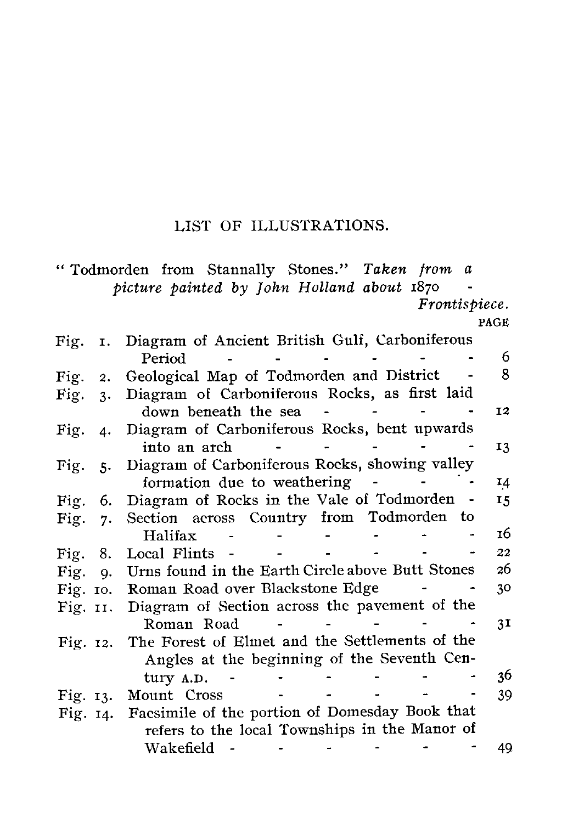## LIST OF ILLUSTRATIONS.

<span id="page-2-0"></span>

|            |    | "Todmorden from Stannally Stones." Taken from a  |                                               |  |  |               |                |
|------------|----|--------------------------------------------------|-----------------------------------------------|--|--|---------------|----------------|
|            |    | picture painted by John Holland about 1870       |                                               |  |  |               |                |
|            |    |                                                  |                                               |  |  | Frontispiece. |                |
|            |    |                                                  |                                               |  |  |               | PAGE           |
| Fig.       | I. | Diagram of Ancient British Gulf, Carboniferous   |                                               |  |  |               |                |
|            |    | Period                                           |                                               |  |  |               | 6              |
| Fig.       | 2. | Geological Map of Todmorden and District         |                                               |  |  |               | 8              |
| Fig.       | 3. | Diagram of Carboniferous Rocks, as first laid    |                                               |  |  |               |                |
|            |    | down beneath the sea                             |                                               |  |  |               | 12             |
| Fig.       | 4. | Diagram of Carboniferous Rocks, bent upwards     |                                               |  |  |               |                |
|            |    | into an arch                                     |                                               |  |  |               | 13             |
| Fig. $5.$  |    | Diagram of Carboniferous Rocks, showing valley   |                                               |  |  |               |                |
|            |    | formation due to weathering                      |                                               |  |  |               | 14             |
| Fig.       | 6. | Diagram of Rocks in the Vale of Todmorden -      |                                               |  |  |               | 15             |
| Fig.       | 7. | Section across Country from Todmorden to         |                                               |  |  |               |                |
|            |    | Halifax                                          |                                               |  |  |               | 16             |
| Fig.       | 8. | Local Flints -                                   |                                               |  |  |               | 22             |
| Fig.       | Q. | Urns found in the Earth Circle above Butt Stones |                                               |  |  |               | 26             |
| Fig. to.   |    | Roman Road over Blackstone Edge                  |                                               |  |  |               | 30             |
| Fig. $II.$ |    | Diagram of Section across the pavement of the    |                                               |  |  |               |                |
|            |    | Roman Road                                       |                                               |  |  |               | 3 <sub>1</sub> |
| Fig. $12.$ |    | The Forest of Elmet and the Settlements of the   |                                               |  |  |               |                |
|            |    | Angles at the beginning of the Seventh Cen-      |                                               |  |  |               |                |
|            |    | tury A.D.                                        |                                               |  |  |               | 36             |
| Fig. 13.   |    | Mount Cross                                      |                                               |  |  |               | 39             |
| Fig. 14.   |    | Facsimile of the portion of Domesday Book that   |                                               |  |  |               |                |
|            |    |                                                  | refers to the local Townships in the Manor of |  |  |               |                |
|            |    | Wakefield                                        |                                               |  |  |               | 49             |